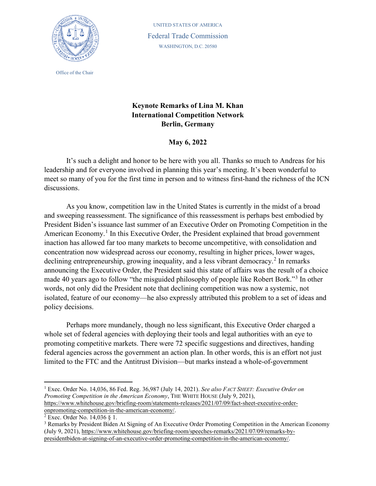

Office of the Chair

UNITED STATES OF AMERICA Federal Trade Commission WASHINGTON, D.C. 20580

## **Keynote Remarks of Lina M. Khan International Competition Network Berlin, Germany**

**May 6, 2022** 

It's such a delight and honor to be here with you all. Thanks so much to Andreas for his leadership and for everyone involved in planning this year's meeting. It's been wonderful to meet so many of you for the first time in person and to witness first-hand the richness of the ICN discussions.

As you know, competition law in the United States is currently in the midst of a broad and sweeping reassessment. The significance of this reassessment is perhaps best embodied by President Biden's issuance last summer of an Executive Order on Promoting Competition in the American Economy.<sup>[1](#page-0-0)</sup> In this Executive Order, the President explained that broad government inaction has allowed far too many markets to become uncompetitive, with consolidation and concentration now widespread across our economy, resulting in higher prices, lower wages, declining entrepreneurship, growing inequality, and a less vibrant democracy.<sup>[2](#page-0-1)</sup> In remarks announcing the Executive Order, the President said this state of affairs was the result of a choice made 40 years ago to follow "the misguided philosophy of people like Robert Bork."<sup>[3](#page-0-2)</sup> In other words, not only did the President note that declining competition was now a systemic, not isolated, feature of our economy—he also expressly attributed this problem to a set of ideas and policy decisions.

Perhaps more mundanely, though no less significant, this Executive Order charged a whole set of federal agencies with deploying their tools and legal authorities with an eye to promoting competitive markets. There were 72 specific suggestions and directives, handing federal agencies across the government an action plan. In other words, this is an effort not just limited to the FTC and the Antitrust Division—but marks instead a whole-of-government

<span id="page-0-0"></span><sup>1</sup> Exec. Order No. 14,036, 86 Fed. Reg. 36,987 (July 14, 2021). *See also FACT SHEET: Executive Order on Promoting Competition in the American Economy*, THE WHITE HOUSE (July 9, 2021), [https://www.whitehouse.gov/briefing-room/statements-releases/2021/07/09/fact-sheet-executive-order](https://www.whitehouse.gov/briefing-room/statements-releases/2021/07/09/fact-sheet-executive-order-onpromoting-competition-in-the-american-economy/)[onpromoting-competition-in-the-american-economy/.](https://www.whitehouse.gov/briefing-room/statements-releases/2021/07/09/fact-sheet-executive-order-onpromoting-competition-in-the-american-economy/)<br><sup>2</sup> Exec. Order No. 14,036 § 1.

<span id="page-0-1"></span>

<span id="page-0-2"></span><sup>3</sup> Remarks by President Biden At Signing of An Executive Order Promoting Competition in the American Economy (July 9, 2021), [https://www.whitehouse.gov/briefing-room/speeches-remarks/2021/07/09/remarks-by](https://www.whitehouse.gov/briefing-room/speeches-remarks/2021/07/09/remarks-by-presidentbiden-at-signing-of-an-executive-order-promoting-competition-in-the-american-economy/)[presidentbiden-at-signing-of-an-executive-order-promoting-competition-in-the-american-economy/.](https://www.whitehouse.gov/briefing-room/speeches-remarks/2021/07/09/remarks-by-presidentbiden-at-signing-of-an-executive-order-promoting-competition-in-the-american-economy/)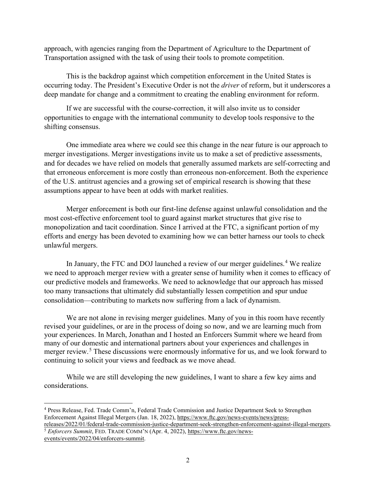approach, with agencies ranging from the Department of Agriculture to the Department of Transportation assigned with the task of using their tools to promote competition.

This is the backdrop against which competition enforcement in the United States is occurring today. The President's Executive Order is not the *driver* of reform, but it underscores a deep mandate for change and a commitment to creating the enabling environment for reform.

If we are successful with the course-correction, it will also invite us to consider opportunities to engage with the international community to develop tools responsive to the shifting consensus.

One immediate area where we could see this change in the near future is our approach to merger investigations. Merger investigations invite us to make a set of predictive assessments, and for decades we have relied on models that generally assumed markets are self-correcting and that erroneous enforcement is more costly than erroneous non-enforcement. Both the experience of the U.S. antitrust agencies and a growing set of empirical research is showing that these assumptions appear to have been at odds with market realities.

Merger enforcement is both our first-line defense against unlawful consolidation and the most cost-effective enforcement tool to guard against market structures that give rise to monopolization and tacit coordination. Since I arrived at the FTC, a significant portion of my efforts and energy has been devoted to examining how we can better harness our tools to check unlawful mergers.

In January, the FTC and DOJ launched a review of our merger guidelines.<sup>[4](#page-1-0)</sup> We realize we need to approach merger review with a greater sense of humility when it comes to efficacy of our predictive models and frameworks. We need to acknowledge that our approach has missed too many transactions that ultimately did substantially lessen competition and spur undue consolidation—contributing to markets now suffering from a lack of dynamism.

We are not alone in revising merger guidelines. Many of you in this room have recently revised your guidelines, or are in the process of doing so now, and we are learning much from your experiences. In March, Jonathan and I hosted an Enforcers Summit where we heard from many of our domestic and international partners about your experiences and challenges in merger review.<sup>[5](#page-1-1)</sup> These discussions were enormously informative for us, and we look forward to continuing to solicit your views and feedback as we move ahead.

While we are still developing the new guidelines, I want to share a few key aims and considerations.

<span id="page-1-0"></span><sup>4</sup> Press Release, Fed. Trade Comm'n, Federal Trade Commission and Justice Department Seek to Strengthen Enforcement Against Illegal Mergers (Jan. 18, 2022)[, https://www.ftc.gov/news-events/news/press-](https://www.ftc.gov/news-events/news/press-releases/2022/01/federal-trade-commission-justice-department-seek-strengthen-enforcement-against-illegal-mergers)

<span id="page-1-1"></span>[releases/2022/01/federal-trade-commission-justice-department-seek-strengthen-enforcement-against-illegal-mergers.](https://www.ftc.gov/news-events/news/press-releases/2022/01/federal-trade-commission-justice-department-seek-strengthen-enforcement-against-illegal-mergers)5 *Enforcers Summit*, FED. TRADE COMM'N (Apr. 4, 2022), https://www.ftc.gov/news-

[events/events/2022/04/enforcers-summit.](https://www.ftc.gov/news-events/events/2022/04/enforcers-summit)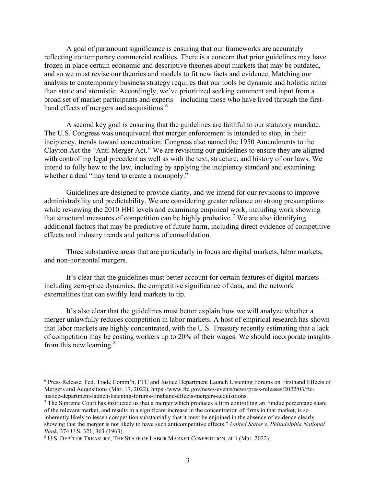A goal of paramount significance is ensuring that our frameworks are accurately reflecting contemporary commercial realities. There is a concern that prior guidelines may have frozen in place certain economic and descriptive theories about markets that may be outdated, and so we must revise our theories and models to fit new facts and evidence. Matching our analysis to contemporary business strategy requires that our tools be dynamic and holistic rather than static and atomistic. Accordingly, we've prioritized seeking comment and input from a broad set of market participants and experts—including those who have lived through the first-hand effects of mergers and acquisitions.<sup>[6](#page-2-0)</sup>

A second key goal is ensuring that the guidelines are faithful to our statutory mandate. The U.S. Congress was unequivocal that merger enforcement is intended to stop, in their incipiency, trends toward concentration. Congress also named the 1950 Amendments to the Clayton Act the "Anti-Merger Act." We are revisiting our guidelines to ensure they are aligned with controlling legal precedent as well as with the text, structure, and history of our laws. We intend to fully hew to the law, including by applying the incipiency standard and examining whether a deal "may tend to create a monopoly."

Guidelines are designed to provide clarity, and we intend for our revisions to improve administrability and predictability. We are considering greater reliance on strong presumptions while reviewing the 2010 HHI levels and examining empirical work, including work showing that structural measures of competition can be highly probative. [7](#page-2-1) We are also identifying additional factors that may be predictive of future harm, including direct evidence of competitive effects and industry trends and patterns of consolidation.

Three substantive areas that are particularly in focus are digital markets, labor markets, and non-horizontal mergers.

It's clear that the guidelines must better account for certain features of digital markets including zero-price dynamics, the competitive significance of data, and the network externalities that can swiftly lead markets to tip.

It's also clear that the guidelines must better explain how we will analyze whether a merger unlawfully reduces competition in labor markets. A host of empirical research has shown that labor markets are highly concentrated, with the U.S. Treasury recently estimating that a lack of competition may be costing workers up to 20% of their wages. We should incorporate insights from this new learning.[8](#page-2-2)

<span id="page-2-0"></span><sup>6</sup> Press Release, Fed. Trade Comm'n, FTC and Justice Department Launch Listening Forums on Firsthand Effects of Mergers and Acquisitions (Mar. 17, 2022), https://www.ftc.gov/news-events/news/press-releases/2022/03/ftc-justice-department-launch-listening-forums-firsthand-effects-mergers-acquisitions.

<span id="page-2-1"></span><sup>&</sup>lt;sup>7</sup> The Supreme Court has instructed us that a merger which produces a firm controlling an "undue percentage share" of the relevant market, and results in a significant increase in the concentration of firms in that market, is so inherently likely to lessen competition substantially that it must be enjoined in the absence of evidence clearly showing that the merger is not likely to have such anticompetitive effects." *United States v. Philadelphia National Bank*, 374 U.S. 321, 363 (1963).

<span id="page-2-2"></span><sup>8</sup> U.S. DEP'T OF TREASURY, THE STATE OF LABOR MARKET COMPETITION, at ii (Mar. 2022).